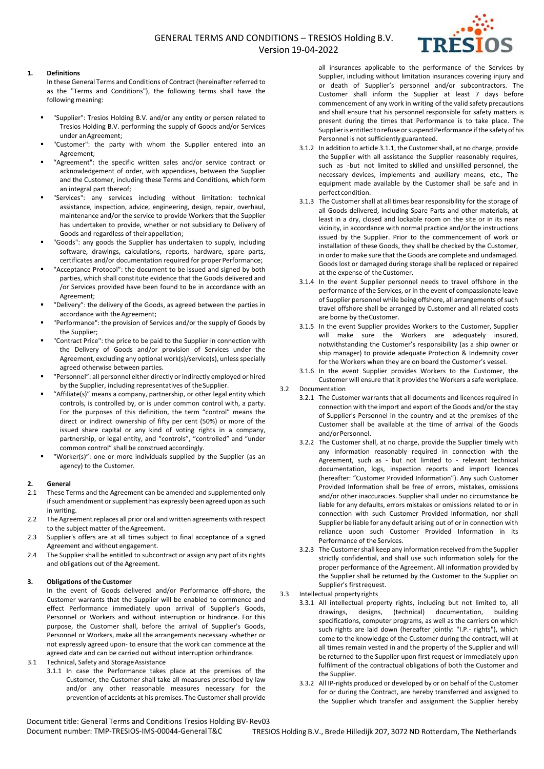## GENERAL TERMS AND CONDITIONS – TRESIOS Holding B.V. Version 19-04-2022



#### **1. Definitions**

In these General Terms and Conditions of Contract (hereinafter referred to as the "Terms and Conditions"), the following terms shall have the following meaning:

- "Supplier": Tresios Holding B.V. and/or any entity or person related to Tresios Holding B.V. performing the supply of Goods and/or Services under anAgreement;
- "Customer": the party with whom the Supplier entered into an Agreement;
- "Agreement": the specific written sales and/or service contract or acknowledgement of order, with appendices, between the Supplier and the Customer, including these Terms and Conditions, which form an integral part thereof;
- "Services": any services including without limitation: technical assistance, inspection, advice, engineering, design, repair, overhaul, maintenance and/or the service to provide Workers that the Supplier has undertaken to provide, whether or not subsidiary to Delivery of Goods and regardless of theirappellation;
- "Goods": any goods the Supplier has undertaken to supply, including software, drawings, calculations, reports, hardware, spare parts, certificates and/or documentation required for proper Performance;
- "Acceptance Protocol": the document to be issued and signed by both parties, which shall constitute evidence that the Goods delivered and /or Services provided have been found to be in accordance with an Agreement;
- "Delivery": the delivery of the Goods, as agreed between the parties in accordance with the Agreement;
- "Performance": the provision of Services and/or the supply of Goods by the Supplier:
- "Contract Price": the price to be paid to the Supplier in connection with the Delivery of Goods and/or provision of Services under the Agreement, excluding any optional work(s)/service(s), unless specially agreed otherwise between parties.
- "Personnel": all personnel either directly or indirectly employed or hired by the Supplier, including representatives of the Supplier.
- "Affiliate(s)" means a company, partnership, or other legal entity which controls, is controlled by, or is under common control with, a party. For the purposes of this definition, the term "control" means the direct or indirect ownership of fifty per cent (50%) or more of the issued share capital or any kind of voting rights in a company, partnership, or legal entity, and "controls", "controlled" and "under common control" shall be construed accordingly.
- "Worker(s)": one or more individuals supplied by the Supplier (as an agency) to the Customer.

#### **2. General**

- 2.1 These Terms and the Agreement can be amended and supplemented only if such amendment or supplement has expressly been agreed upon as such in writing.
- 2.2 The Agreement replaces all prior oral and written agreements with respect to the subject matter of the Agreement.
- 2.3 Supplier's offers are at all times subject to final acceptance of a signed Agreement and without engagement.
- 2.4 The Supplier shall be entitled to subcontract or assign any part of its rights and obligations out of the Agreement.

#### **3. Obligations of the Customer**

In the event of Goods delivered and/or Performance off-shore, the Customer warrants that the Supplier will be enabled to commence and effect Performance immediately upon arrival of Supplier's Goods, Personnel or Workers and without interruption or hindrance. For this purpose, the Customer shall, before the arrival of Supplier's Goods, Personnel or Workers, make all the arrangements necessary -whether or not expressly agreed upon- to ensure that the work can commence at the agreed date and can be carried out without interruption orhindrance.

- 3.1 Technical, Safety and Storage Assistance
	- 3.1.1 In case the Performance takes place at the premises of the Customer, the Customer shall take all measures prescribed by law and/or any other reasonable measures necessary for the prevention of accidents at his premises. The Customer shall provide

all insurances applicable to the performance of the Services by Supplier, including without limitation insurances covering injury and or death of Supplier's personnel and/or subcontractors. The Customer shall inform the Supplier at least 7 days before commencement of any work in writing of the valid safety precautions and shall ensure that his personnel responsible for safety matters is present during the times that Performance is to take place. The Supplier is entitled to refuse or suspend Performance if the safety of his Personnel is not sufficiently guaranteed.

- 3.1.2 In addition to article 3.1.1, the Customer shall, at no charge, provide the Supplier with all assistance the Supplier reasonably requires, such as -but not limited to skilled and unskilled personnel, the necessary devices, implements and auxiliary means, etc., The equipment made available by the Customer shall be safe and in perfect condition.
- 3.1.3 The Customer shall at all times bear responsibility for the storage of all Goods delivered, including Spare Parts and other materials, at least in a dry, closed and lockable room on the site or in its near vicinity, in accordance with normal practice and/or the instructions issued by the Supplier. Prior to the commencement of work or installation of these Goods, they shall be checked by the Customer, in order to make sure that the Goods are complete and undamaged. Goods lost or damaged during storage shall be replaced or repaired at the expense of the Customer.
- 3.1.4 In the event Supplier personnel needs to travel offshore in the performance of the Services, or in the event of compassionate leave of Supplier personnel while being offshore, all arrangements of such travel offshore shall be arranged by Customer and all related costs are borne by theCustomer.
- 3.1.5 In the event Supplier provides Workers to the Customer, Supplier will make sure the Workers are adequately insured, notwithstanding the Customer's responsibility (as a ship owner or ship manager) to provide adequate Protection & Indemnity cover for the Workers when they are on board the Customer's vessel.
- 3.1.6 In the event Supplier provides Workers to the Customer, the Customer will ensure that it provides the Workers a safe workplace.

3.2 Documentation

- 3.2.1 The Customer warrants that all documents and licences required in connection with the import and export of the Goods and/or the stay of Supplier's Personnel in the country and at the premises of the Customer shall be available at the time of arrival of the Goods and/or Personnel.
- 3.2.2 The Customer shall, at no charge, provide the Supplier timely with any information reasonably required in connection with the Agreement, such as - but not limited to - relevant technical documentation, logs, inspection reports and import licences (hereafter: "Customer Provided Information"). Any such Customer Provided Information shall be free of errors, mistakes, omissions and/or other inaccuracies. Supplier shall under no circumstance be liable for any defaults, errors mistakes or omissions related to or in connection with such Customer Provided Information, nor shall Supplier be liable for any default arising out of or in connection with reliance upon such Customer Provided Information in its Performance of the Services.
- 3.2.3 The Customer shall keep any information received from the Supplier strictly confidential, and shall use such information solely for the proper performance of the Agreement. All information provided by the Supplier shall be returned by the Customer to the Supplier on Supplier's firstrequest.
- 3.3 Intellectual property rights
	- 3.3.1 All intellectual property rights, including but not limited to, all drawings, designs, (technical) documentation, building specifications, computer programs, as well as the carriers on which such rights are laid down (hereafter jointly: "I.P.- rights"), which come to the knowledge of the Customer during the contract, will at all times remain vested in and the property of the Supplier and will be returned to the Supplier upon first request or immediately upon fulfilment of the contractual obligations of both the Customer and the Supplier.
	- 3.3.2 All IP-rights produced or developed by or on behalf of the Customer for or during the Contract, are hereby transferred and assigned to the Supplier which transfer and assignment the Supplier hereby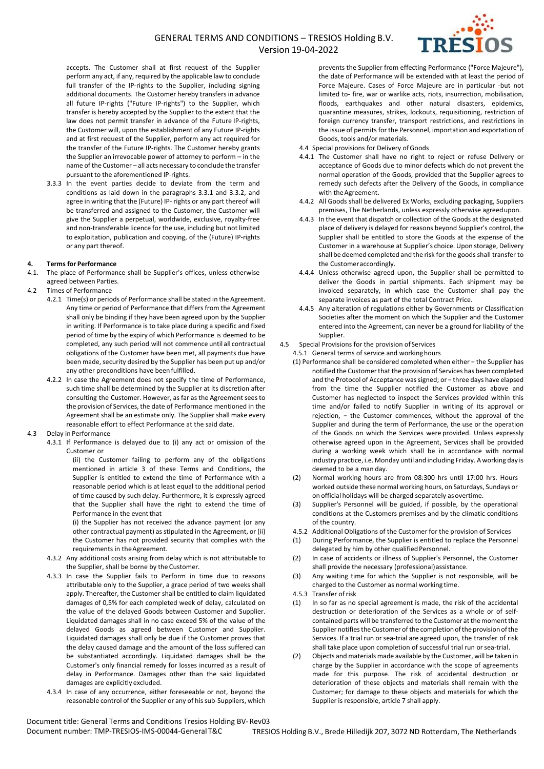

accepts. The Customer shall at first request of the Supplier perform any act, if any, required by the applicable law to conclude full transfer of the IP-rights to the Supplier, including signing additional documents. The Customer hereby transfers in advance all future IP-rights ("Future IP-rights") to the Supplier, which transfer is hereby accepted by the Supplier to the extent that the law does not permit transfer in advance of the Future IP-rights, the Customer will, upon the establishment of any Future IP-rights and at first request of the Supplier, perform any act required for the transfer of the Future IP-rights. The Customer hereby grants the Supplier an irrevocable power of attorney to perform – in the name of the Customer – all acts necessary to conclude the transfer pursuant to the aforementioned IP-rights.

3.3.3 In the event parties decide to deviate from the term and conditions as laid down in the paragraphs 3.3.1 and 3.3.2, and agree in writing that the (Future) IP- rights or any part thereof will be transferred and assigned to the Customer, the Customer will give the Supplier a perpetual, worldwide, exclusive, royalty-free and non-transferable licence for the use, including but not limited to exploitation, publication and copying, of the (Future) IP-rights or any part thereof.

#### **4. Terms for Performance**

- 4.1. The place of Performance shall be Supplier's offices, unless otherwise agreed between Parties.
- 4.2 Times of Performance
	- 4.2.1 Time(s) or periods of Performance shall be stated in the Agreement. Any time or period of Performance that differs from the Agreement shall only be binding if they have been agreed upon by the Supplier in writing. If Performance is to take place during a specific and fixed period of time by the expiry of which Performance is deemed to be completed, any such period will not commence until all contractual obligations of the Customer have been met, all payments due have been made, security desired by the Supplier has been put up and/or any other preconditions have been fulfilled.
	- 4.2.2 In case the Agreement does not specify the time of Performance, such time shall be determined by the Supplier at its discretion after consulting the Customer. However, as far as the Agreement sees to the provision of Services, the date of Performance mentioned in the Agreement shall be an estimate only. The Supplier shall make every reasonable effort to effect Performance at the said date.

#### 4.3 Delay in Performance

4.3.1 If Performance is delayed due to (i) any act or omission of the Customer or

(ii) the Customer failing to perform any of the obligations mentioned in article 3 of these Terms and Conditions, the Supplier is entitled to extend the time of Performance with a reasonable period which is at least equal to the additional period of time caused by such delay. Furthermore, it is expressly agreed that the Supplier shall have the right to extend the time of Performance in the event that

(i) the Supplier has not received the advance payment (or any other contractual payment) as stipulated in the Agreement, or (ii) the Customer has not provided security that complies with the requirements in theAgreement.

- 4.3.2 Any additional costs arising from delay which is not attributable to the Supplier, shall be borne by the Customer.
- 4.3.3 In case the Supplier fails to Perform in time due to reasons attributable only to the Supplier, a grace period of two weeks shall apply. Thereafter, the Customer shall be entitled to claim liquidated damages of 0,5% for each completed week of delay, calculated on the value of the delayed Goods between Customer and Supplier. Liquidated damages shall in no case exceed 5% of the value of the delayed Goods as agreed between Customer and Supplier. Liquidated damages shall only be due if the Customer proves that the delay caused damage and the amount of the loss suffered can be substantiated accordingly. Liquidated damages shall be the Customer's only financial remedy for losses incurred as a result of delay in Performance. Damages other than the said liquidated damages are explicitly excluded.
- 4.3.4 In case of any occurrence, either foreseeable or not, beyond the reasonable control of the Supplier or any of his sub-Suppliers, which

prevents the Supplier from effecting Performance ("Force Majeure"), the date of Performance will be extended with at least the period of Force Majeure. Cases of Force Majeure are in particular -but not limited to- fire, war or warlike acts, riots, insurrection, mobilisation, floods, earthquakes and other natural disasters, epidemics, quarantine measures, strikes, lockouts, requisitioning, restriction of foreign currency transfer, transport restrictions, and restrictions in the issue of permits for the Personnel, importation and exportation of Goods, tools and/or materials.

- 4.4 Special provisions for Delivery of Goods
- 4.4.1 The Customer shall have no right to reject or refuse Delivery or acceptance of Goods due to minor defects which do not prevent the normal operation of the Goods, provided that the Supplier agrees to remedy such defects after the Delivery of the Goods, in compliance with the Agreement.
- 4.4.2 All Goods shall be delivered Ex Works, excluding packaging, Suppliers premises, The Netherlands, unless expressly otherwise agreedupon.
- 4.4.3 In the event that dispatch or collection of the Goods at the designated place of delivery is delayed for reasons beyond Supplier's control, the Supplier shall be entitled to store the Goods at the expense of the Customer in a warehouse at Supplier's choice. Upon storage, Delivery shall be deemed completed and the risk for the goods shall transfer to the Customeraccordingly.
- 4.4.4 Unless otherwise agreed upon, the Supplier shall be permitted to deliver the Goods in partial shipments. Each shipment may be invoiced separately, in which case the Customer shall pay the separate invoices as part of the total Contract Price.
- 4.4.5 Any alteration of regulations either by Governments or Classification Societies after the moment on which the Supplier and the Customer entered into the Agreement, can never be a ground for liability of the Supplier.
- 4.5 Special Provisions for the provision of Services
	- 4.5.1 General terms of service and workinghours
	- (1) Performance shall be considered completed when either − the Supplier has notified the Customer that the provision of Services has been completed and the Protocol of Acceptance was signed; or − three days have elapsed from the time the Supplier notified the Customer as above and Customer has neglected to inspect the Services provided within this time and/or failed to notify Supplier in writing of its approval or rejection, − the Customer commences, without the approval of the Supplier and during the term of Performance, the use or the operation of the Goods on which the Services were provided. Unless expressly otherwise agreed upon in the Agreement, Services shall be provided during a working week which shall be in accordance with normal industry practice, i.e. Monday until and including Friday. A working day is deemed to be a man day.
	- (2) Normal working hours are from 08:300 hrs until 17:00 hrs. Hours worked outside these normal working hours, on Saturdays, Sundays or on official holidays will be charged separately as overtime.
	- (3) Supplier's Personnel will be guided, if possible, by the operational conditions at the Customers premises and by the climatic conditions of the country.
	- 4.5.2 Additional Obligations of the Customer for the provision of Services
	- (1) During Performance, the Supplier is entitled to replace the Personnel delegated by him by other qualified Personnel.
	- (2) In case of accidents or illness of Supplier's Personnel, the Customer shall provide the necessary (professional)assistance.
	- (3) Any waiting time for which the Supplier is not responsible, will be charged to the Customer as normal working time.
	- 4.5.3 Transfer ofrisk
	- (1) In so far as no special agreement is made, the risk of the accidental destruction or deterioration of the Services as a whole or of selfcontained parts will be transferred to the Customer at the moment the Supplier notifies the Customer of the completion of the provision of the Services. If a trial run or sea-trial are agreed upon, the transfer of risk shall take place upon completion of successful trial run orsea-trial.
	- (2) Objects and materials made available by the Customer, will be taken in charge by the Supplier in accordance with the scope of agreements made for this purpose. The risk of accidental destruction or deterioration of these objects and materials shall remain with the Customer; for damage to these objects and materials for which the Supplier is responsible, article 7 shall apply.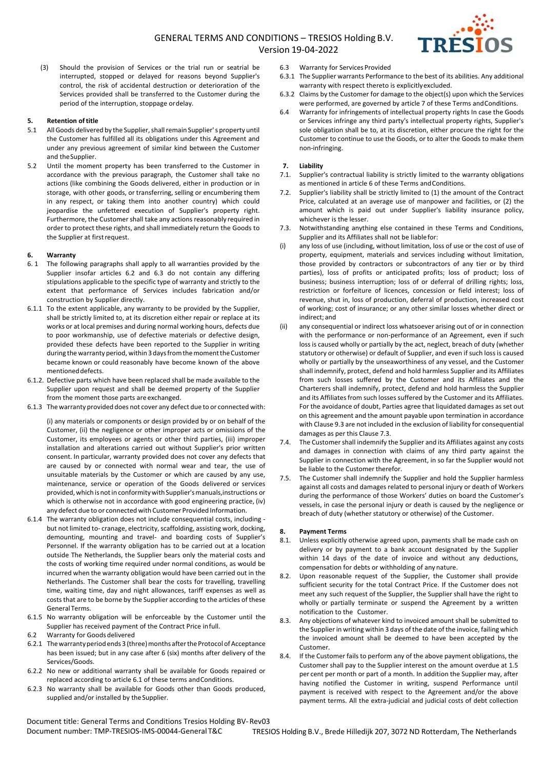

(3) Should the provision of Services or the trial run or seatrial be interrupted, stopped or delayed for reasons beyond Supplier's control, the risk of accidental destruction or deterioration of the Services provided shall be transferred to the Customer during the period of the interruption, stoppage ordelay.

#### **5. Retention oftitle**

- 5.1 All Goods delivered by the Supplier, shall remain Supplier's property until the Customer has fulfilled all its obligations under this Agreement and under any previous agreement of similar kind between the Customer and theSupplier.
- 5.2 Until the moment property has been transferred to the Customer in accordance with the previous paragraph, the Customer shall take no actions (like combining the Goods delivered, either in production or in storage, with other goods, or transferring, selling or encumbering them in any respect, or taking them into another country) which could jeopardise the unfettered execution of Supplier's property right. Furthermore, the Customer shall take any actions reasonably required in order to protect these rights, and shall immediately return the Goods to the Supplier at firstrequest.

## **6. Warranty**

- 6. 1 The following paragraphs shall apply to all warranties provided by the Supplier insofar articles 6.2 and 6.3 do not contain any differing stipulations applicable to the specific type of warranty and strictly to the extent that performance of Services includes fabrication and/or construction by Supplier directly.
- 6.1.1 To the extent applicable, any warranty to be provided by the Supplier, shall be strictly limited to, at its discretion either repair or replace at its works or at local premises and during normal working hours, defects due to poor workmanship, use of defective materials or defective design, provided these defects have been reported to the Supplier in writing during the warranty period, within 3 days from the moment the Customer became known or could reasonably have become known of the above mentioned defects.
- 6.1.2. Defective parts which have been replaced shall be made available to the Supplier upon request and shall be deemed property of the Supplier from the moment those parts are exchanged.
- 6.1.3 The warranty provided does not cover any defect due to or connected with:

(i) any materials or components or design provided by or on behalf of the Customer, (ii) the negligence or other improper acts or omissions of the Customer, its employees or agents or other third parties, (iii) improper installation and alterations carried out without Supplier's prior written consent. In particular, warranty provided does not cover any defects that are caused by or connected with normal wear and tear, the use of unsuitable materials by the Customer or which are caused by any use, maintenance, service or operation of the Goods delivered or services provided, which is not in conformity with Supplier's manuals, instructions or which is otherwise not in accordance with good engineering practice, (iv) any defect due to or connected with Customer Provided Information.

- 6.1.4 The warranty obligation does not include consequential costs, including but not limited to- cranage, electricity, scaffolding, assisting work, docking, demounting, mounting and travel- and boarding costs of Supplier's Personnel. If the warranty obligation has to be carried out at a location outside The Netherlands, the Supplier bears only the material costs and the costs of working time required under normal conditions, as would be incurred when the warranty obligation would have been carried out in the Netherlands. The Customer shall bear the costs for travelling, travelling time, waiting time, day and night allowances, tariff expenses as well as costs that are to be borne by the Supplier according to the articles of these GeneralTerms.
- 6.1.5 No warranty obligation will be enforceable by the Customer until the Supplier has received payment of the Contract Price infull.
- 6.2 Warranty for Goods delivered
- 6.2.1 The warranty period ends 3 (three) months after the Protocol of Acceptance has been issued; but in any case after 6 (six) months after delivery of the Services/Goods.
- 6.2.2 No new or additional warranty shall be available for Goods repaired or replaced according to article 6.1 of these terms andConditions.
- 6.2.3 No warranty shall be available for Goods other than Goods produced, supplied and/or installed by the Supplier.
- 6.3 Warranty for Services Provided
- 6.3.1 The Supplier warrants Performance to the best of its abilities. Any additional warranty with respect thereto is explicitlyexcluded.
- 6.3.2 Claims by the Customer for damage to the object(s) upon which the Services were performed, are governed by article 7 of these Terms and Conditions.
- 6.4 Warranty for infringements of intellectual property rights In case the Goods or Services infringe any third party's intellectual property rights, Supplier's sole obligation shall be to, at its discretion, either procure the right for the Customer to continue to use the Goods, or to alter the Goods to make them non-infringing.

### **7. Liability**

- 7.1. Supplier's contractual liability is strictly limited to the warranty obligations as mentioned in article 6 of these Terms andConditions.
- 7.2. Supplier's liability shall be strictly limited to (1) the amount of the Contract Price, calculated at an average use of manpower and facilities, or (2) the amount which is paid out under Supplier's liability insurance policy, whichever is the lesser.
- 7.3. Notwithstanding anything else contained in these Terms and Conditions, Supplier and its Affiliates shall not be liablefor:
- (i) any loss of use (including, without limitation, loss of use or the cost of use of property, equipment, materials and services including without limitation, those provided by contractors or subcontractors of any tier or by third parties), loss of profits or anticipated profits; loss of product; loss of business; business interruption; loss of or deferral of drilling rights; loss, restriction or forfeiture of licences, concession or field interest; loss of revenue, shut in, loss of production, deferral of production, increased cost of working; cost of insurance; or any other similar losses whether direct or indirect; and
- (ii) any consequential or indirect loss whatsoever arising out of or in connection with the performance or non-performance of an Agreement, even if such loss is caused wholly or partially by the act, neglect, breach of duty (whether statutory or otherwise) or default of Supplier, and even if such loss is caused wholly or partially by the unseaworthiness of any vessel, and the Customer shall indemnify, protect, defend and hold harmless Supplier and its Affiliates from such losses suffered by the Customer and its Affiliates and the Charterers shall indemnify, protect, defend and hold harmless the Supplier and its Affiliates from such losses suffered by the Customer and its Affiliates. For the avoidance of doubt, Parties agree that liquidated damages as set out on this agreement and the amount payable upon termination in accordance with Clause 9.3 are not included in the exclusion of liability for consequential damages as per this Clause 7.3.
- 7.4. The Customer shall indemnify the Supplier and its Affiliates against any costs and damages in connection with claims of any third party against the Supplier in connection with the Agreement, in so far the Supplier would not be liable to the Customer therefor.
- 7.5. The Customer shall indemnify the Supplier and hold the Supplier harmless against all costs and damages related to personal injury or death of Workers during the performance of those Workers' duties on board the Customer's vessels, in case the personal injury or death is caused by the negligence or breach of duty (whether statutory or otherwise) of the Customer.

#### **8. Payment Terms**

- 8.1. Unless explicitly otherwise agreed upon, payments shall be made cash on delivery or by payment to a bank account designated by the Supplier within 14 days of the date of invoice and without any deductions, compensation for debts or withholding of any nature.
- 8.2. Upon reasonable request of the Supplier, the Customer shall provide sufficient security for the total Contract Price. If the Customer does not meet any such request of the Supplier, the Supplier shall have the right to wholly or partially terminate or suspend the Agreement by a written notification to the Customer.
- 8.3. Any objections of whatever kind to invoiced amount shall be submitted to the Supplier in writing within 3 days of the date of the invoice, failing which the invoiced amount shall be deemed to have been accepted by the Customer.
- 8.4. If the Customer fails to perform any of the above payment obligations, the Customer shall pay to the Supplier interest on the amount overdue at 1.5 per cent per month or part of a month. In addition the Supplier may, after having notified the Customer in writing, suspend Performance until payment is received with respect to the Agreement and/or the above payment terms. All the extra-judicial and judicial costs of debt collection

Document title: General Terms and Conditions Tresios Holding BV-Rev03 Document number: TMP-TRESIOS-IMS-00044-General T&C TRESIOS Holding B.V., Brede Hilledijk 207, 3072 ND Rotterdam, The Netherlands